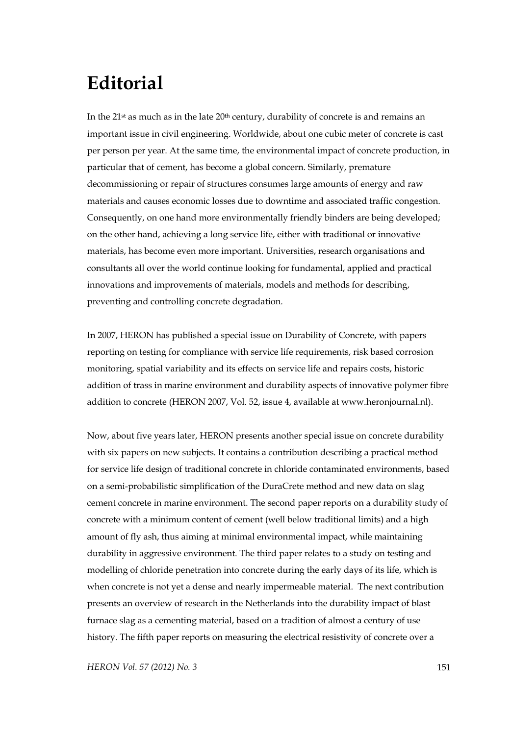## **Editorial**

In the  $21$ <sup>st</sup> as much as in the late  $20<sup>th</sup>$  century, durability of concrete is and remains an important issue in civil engineering. Worldwide, about one cubic meter of concrete is cast per person per year. At the same time, the environmental impact of concrete production, in particular that of cement, has become a global concern. Similarly, premature decommissioning or repair of structures consumes large amounts of energy and raw materials and causes economic losses due to downtime and associated traffic congestion. Consequently, on one hand more environmentally friendly binders are being developed; on the other hand, achieving a long service life, either with traditional or innovative materials, has become even more important. Universities, research organisations and consultants all over the world continue looking for fundamental, applied and practical innovations and improvements of materials, models and methods for describing, preventing and controlling concrete degradation.

In 2007, HERON has published a special issue on Durability of Concrete, with papers reporting on testing for compliance with service life requirements, risk based corrosion monitoring, spatial variability and its effects on service life and repairs costs, historic addition of trass in marine environment and durability aspects of innovative polymer fibre addition to concrete (HERON 2007, Vol. 52, issue 4, available at www.heronjournal.nl).

Now, about five years later, HERON presents another special issue on concrete durability with six papers on new subjects. It contains a contribution describing a practical method for service life design of traditional concrete in chloride contaminated environments, based on a semi-probabilistic simplification of the DuraCrete method and new data on slag cement concrete in marine environment. The second paper reports on a durability study of concrete with a minimum content of cement (well below traditional limits) and a high amount of fly ash, thus aiming at minimal environmental impact, while maintaining durability in aggressive environment. The third paper relates to a study on testing and modelling of chloride penetration into concrete during the early days of its life, which is when concrete is not yet a dense and nearly impermeable material. The next contribution presents an overview of research in the Netherlands into the durability impact of blast furnace slag as a cementing material, based on a tradition of almost a century of use history. The fifth paper reports on measuring the electrical resistivity of concrete over a

*HERON Vol. 57 (2012) No. 3* 151